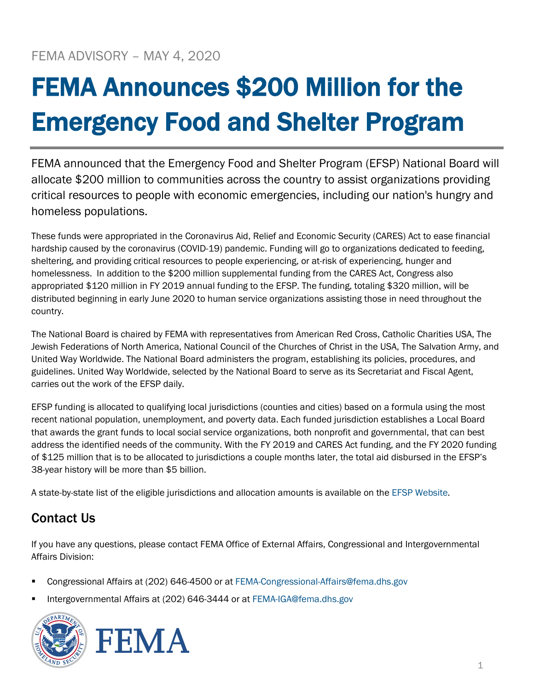## FEMA Announces \$200 Million for the Emergency Food and Shelter Program

FEMA announced that the Emergency Food and Shelter Program (EFSP) National Board will allocate \$200 million to communities across the country to assist organizations providing critical resources to people with economic emergencies, including our nation's hungry and homeless populations.

These funds were appropriated in the Coronavirus Aid, Relief and Economic Security (CARES) Act to ease financial hardship caused by the coronavirus (COVID-19) pandemic. Funding will go to organizations dedicated to feeding, sheltering, and providing critical resources to people experiencing, or at-risk of experiencing, hunger and homelessness. In addition to the \$200 million supplemental funding from the CARES Act, Congress also appropriated \$120 million in FY 2019 annual funding to the EFSP. The funding, totaling \$320 million, will be distributed beginning in early June 2020 to human service organizations assisting those in need throughout the country.

The National Board is chaired by FEMA with representatives from American Red Cross, Catholic Charities USA, The Jewish Federations of North America, National Council of the Churches of Christ in the USA, The Salvation Army, and United Way Worldwide. The National Board administers the program, establishing its policies, procedures, and guidelines. United Way Worldwide, selected by the National Board to serve as its Secretariat and Fiscal Agent, carries out the work of the EFSP daily.

EFSP funding is allocated to qualifying local jurisdictions (counties and cities) based on a formula using the most recent national population, unemployment, and poverty data. Each funded jurisdiction establishes a Local Board that awards the grant funds to local social service organizations, both nonprofit and governmental, that can best address the identified needs of the community. With the FY 2019 and CARES Act funding, and the FY 2020 funding of \$125 million that is to be allocated to jurisdictions a couple months later, the total aid disbursed in the EFSP's 38-year history will be more than \$5 billion.

A state-by-state list of the eligible jurisdictions and allocation amounts is available on the [EFSP Website.](https://www.efsp.unitedway.org/efsp/website/websiteContents/index.cfm?template=latestNews.cfm?LatestNewsNo=1)

## Contact Us

If you have any questions, please contact FEMA Office of External Affairs, Congressional and Intergovernmental Affairs Division:

- Congressional Affairs at (202) 646-4500 or at [FEMA-Congressional-Affairs@fema.dhs.gov](mailto:FEMA-Congressional-Affairs@fema.dhs.gov)
- Intergovernmental Affairs at (202) 646-3444 or at [FEMA-IGA@fema.dhs.gov](mailto:FEMA-IGA@fema.dhs.gov)